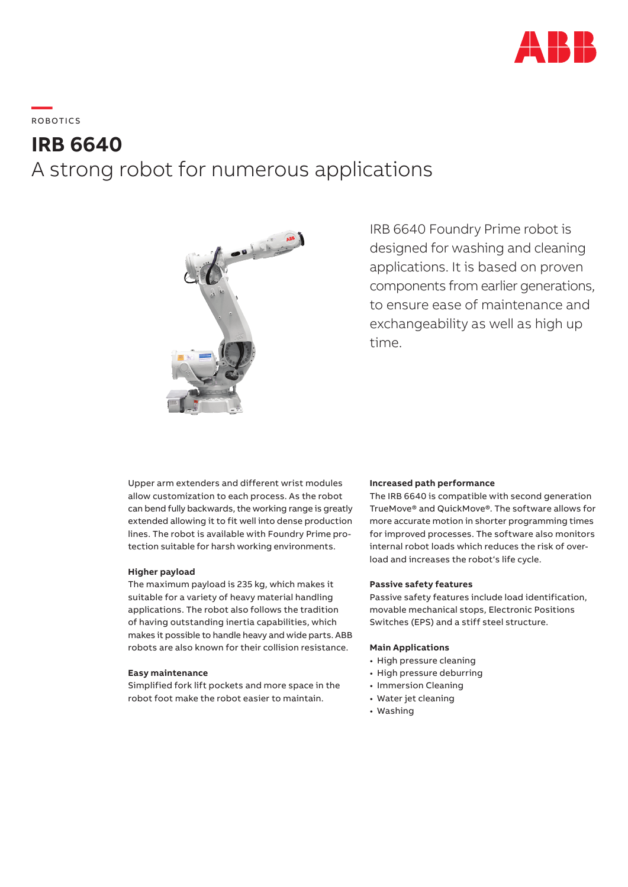

# **—**  RO B OTI C S

## **IRB 6640**  A strong robot for numerous applications



IRB 6640 Foundry Prime robot is designed for washing and cleaning applications. It is based on proven components from earlier generations, to ensure ease of maintenance and exchangeability as well as high up time.

Upper arm extenders and different wrist modules allow customization to each process. As the robot can bend fully backwards, the working range is greatly extended allowing it to fit well into dense production lines. The robot is available with Foundry Prime protection suitable for harsh working environments.

## **Higher payload**

The maximum payload is 235 kg, which makes it suitable for a variety of heavy material handling applications. The robot also follows the tradition of having outstanding inertia capabilities, which makes it possible to handle heavy and wide parts. ABB robots are also known for their collision resistance.

## **Easy maintenance**

Simplified fork lift pockets and more space in the robot foot make the robot easier to maintain.

### **Increased path performance**

The IRB 6640 is compatible with second generation TrueMove® and QuickMove®. The software allows for more accurate motion in shorter programming times for improved processes. The software also monitors internal robot loads which reduces the risk of overload and increases the robot's life cycle.

## **Passive safety features**

Passive safety features include load identification, movable mechanical stops, Electronic Positions Switches (EPS) and a stiff steel structure.

## **Main Applications**

- High pressure cleaning
- High pressure deburring
- Immersion Cleaning
- Water jet cleaning
- Washing